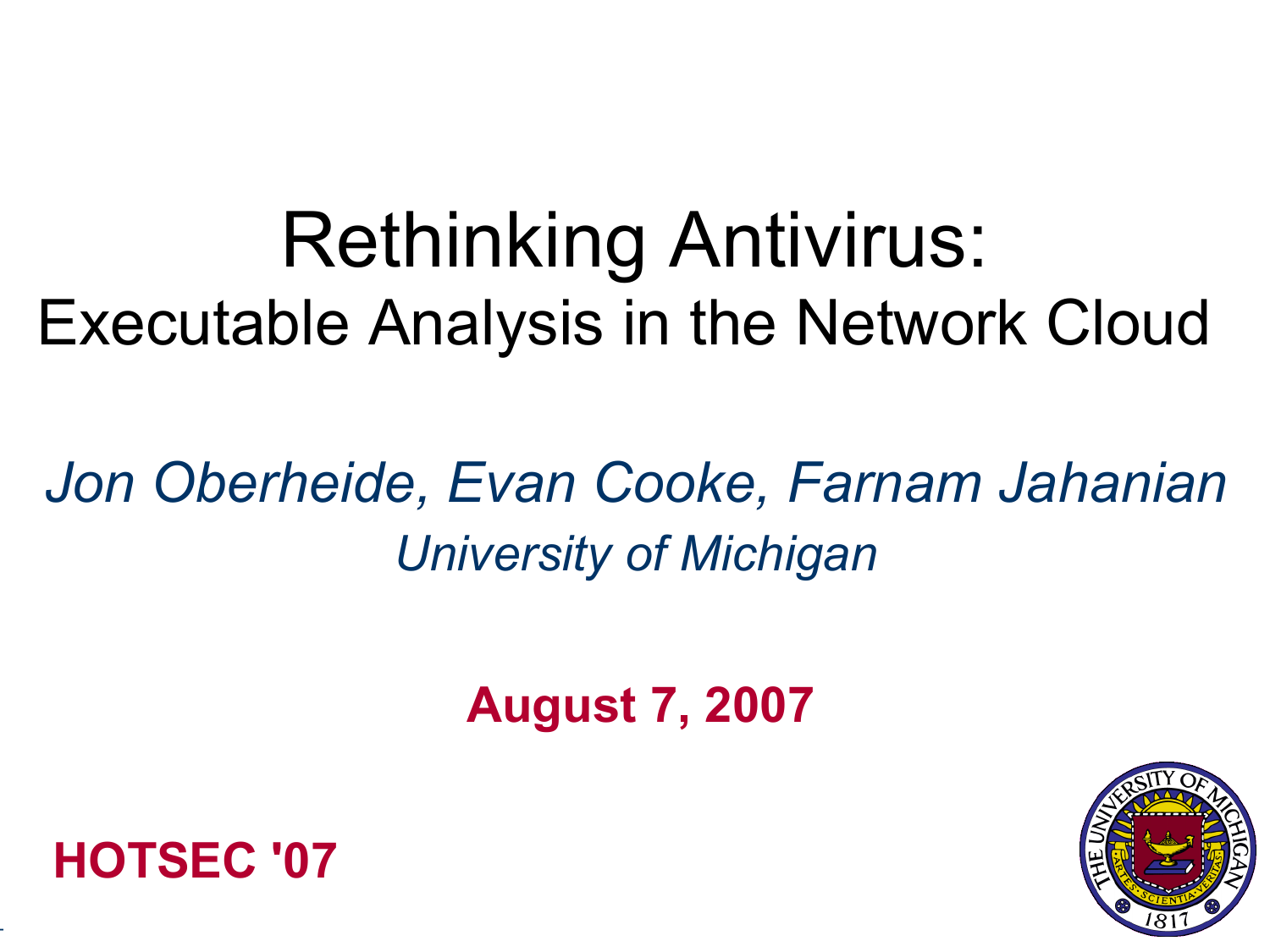## Rethinking Antivirus: Executable Analysis in the Network Cloud

## *Jon Oberheide, Evan Cooke, Farnam Jahanian University of Michigan*

**August 7, 2007**





-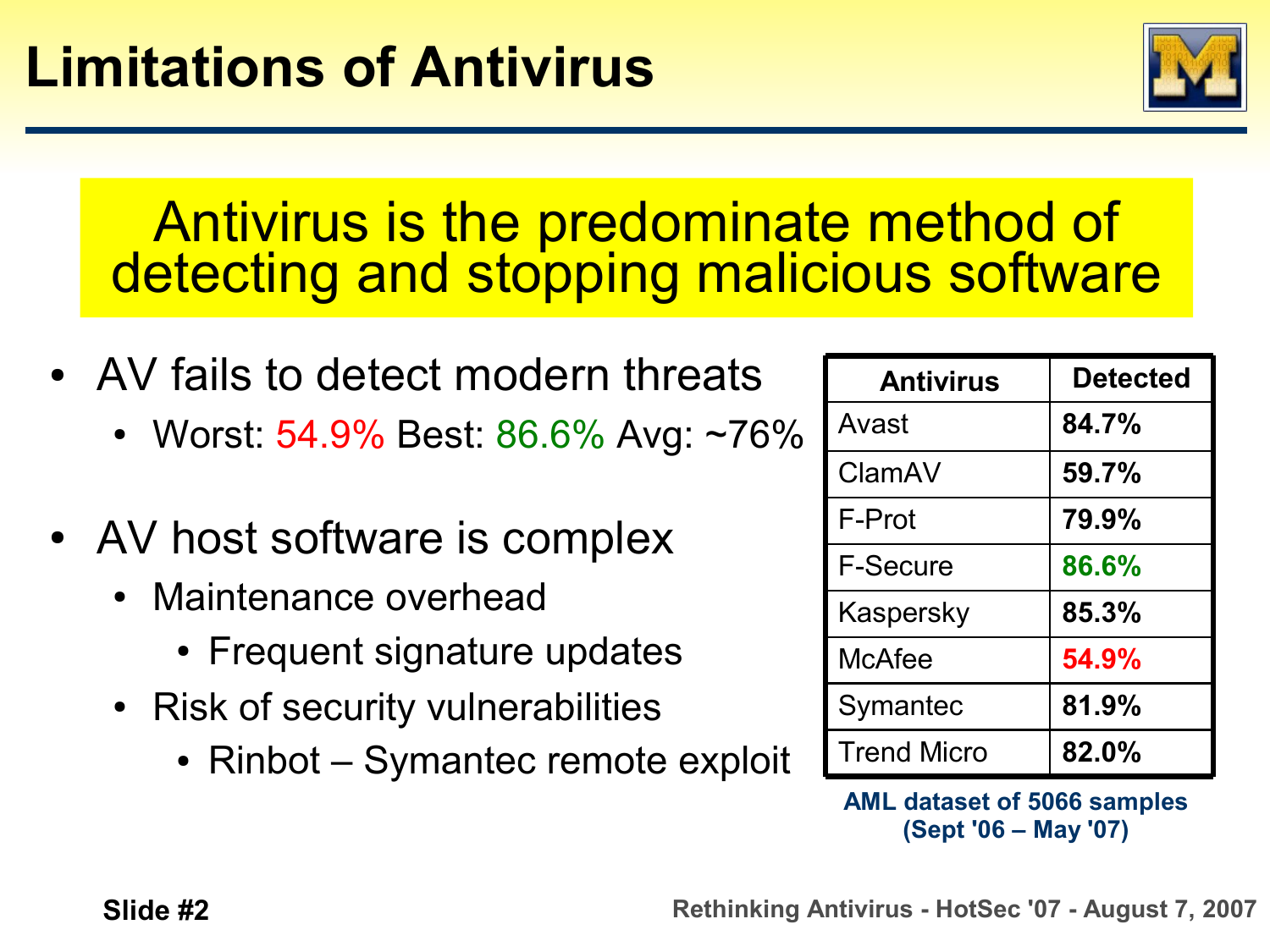

#### Antivirus is the predominate method of detecting and stopping malicious software

- AV fails to detect modern threats
	- Worst: 54.9% Best: 86.6% Avg: ~76%
- AV host software is complex
	- Maintenance overhead
		- Frequent signature updates
	- Risk of security vulnerabilities
		- Rinbot Symantec remote exploit

| <b>Antivirus</b>   | <b>Detected</b> |
|--------------------|-----------------|
| Avast              | 84.7%           |
| ClamAV             | 59.7%           |
| F-Prot             | 79.9%           |
| <b>F-Secure</b>    | 86.6%           |
| Kaspersky          | 85.3%           |
| <b>McAfee</b>      | 54.9%           |
| Symantec           | 81.9%           |
| <b>Trend Micro</b> | 82.0%           |

**AML dataset of 5066 samples (Sept '06 – May '07)**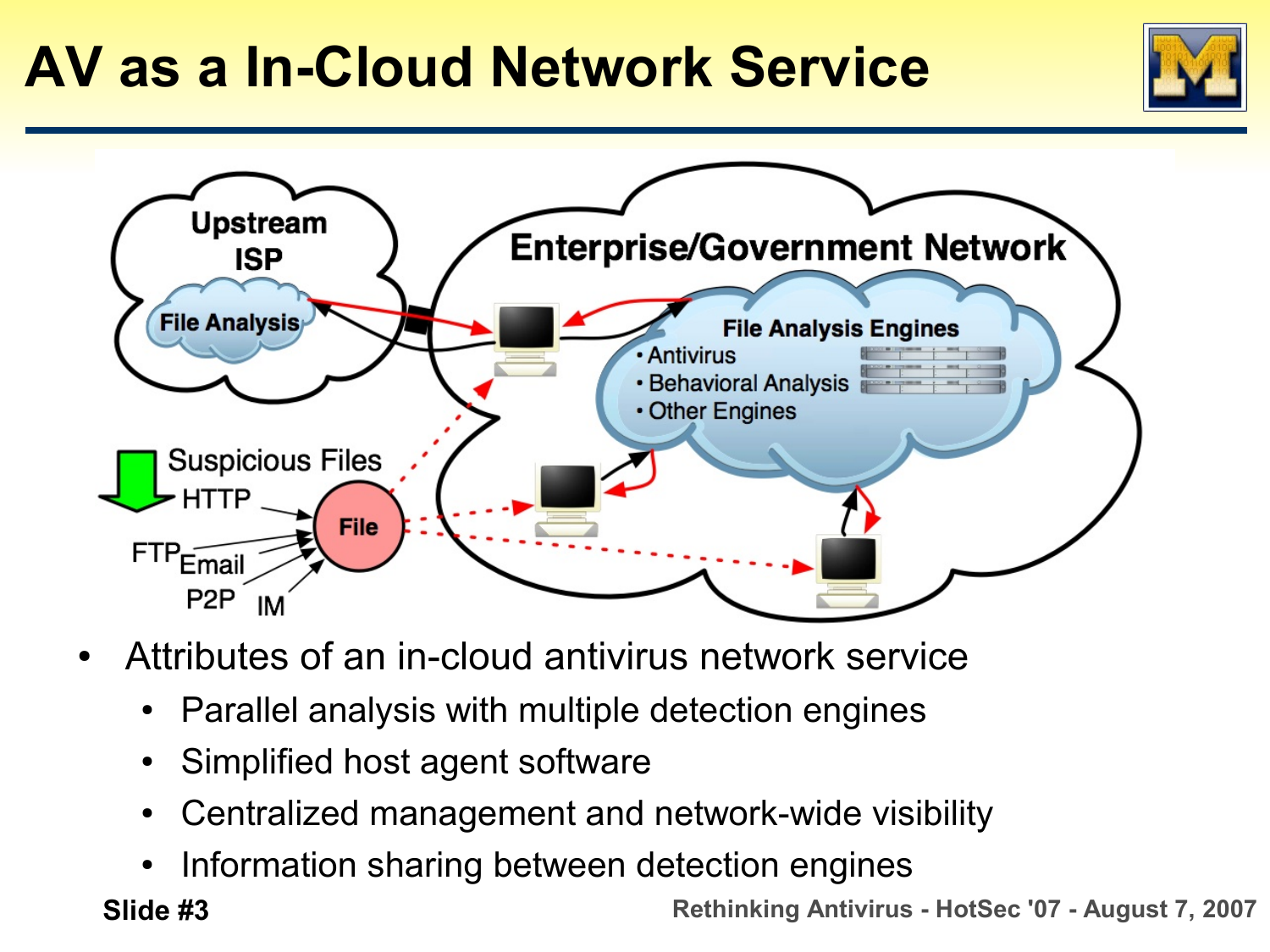### **AV as a In-Cloud Network Service**





- Attributes of an in-cloud antivirus network service
	- Parallel analysis with multiple detection engines
	- Simplified host agent software
	- Centralized management and network-wide visibility
	- Information sharing between detection engines

 **Slide #3 Rethinking Antivirus - HotSec '07 - August 7, 2007**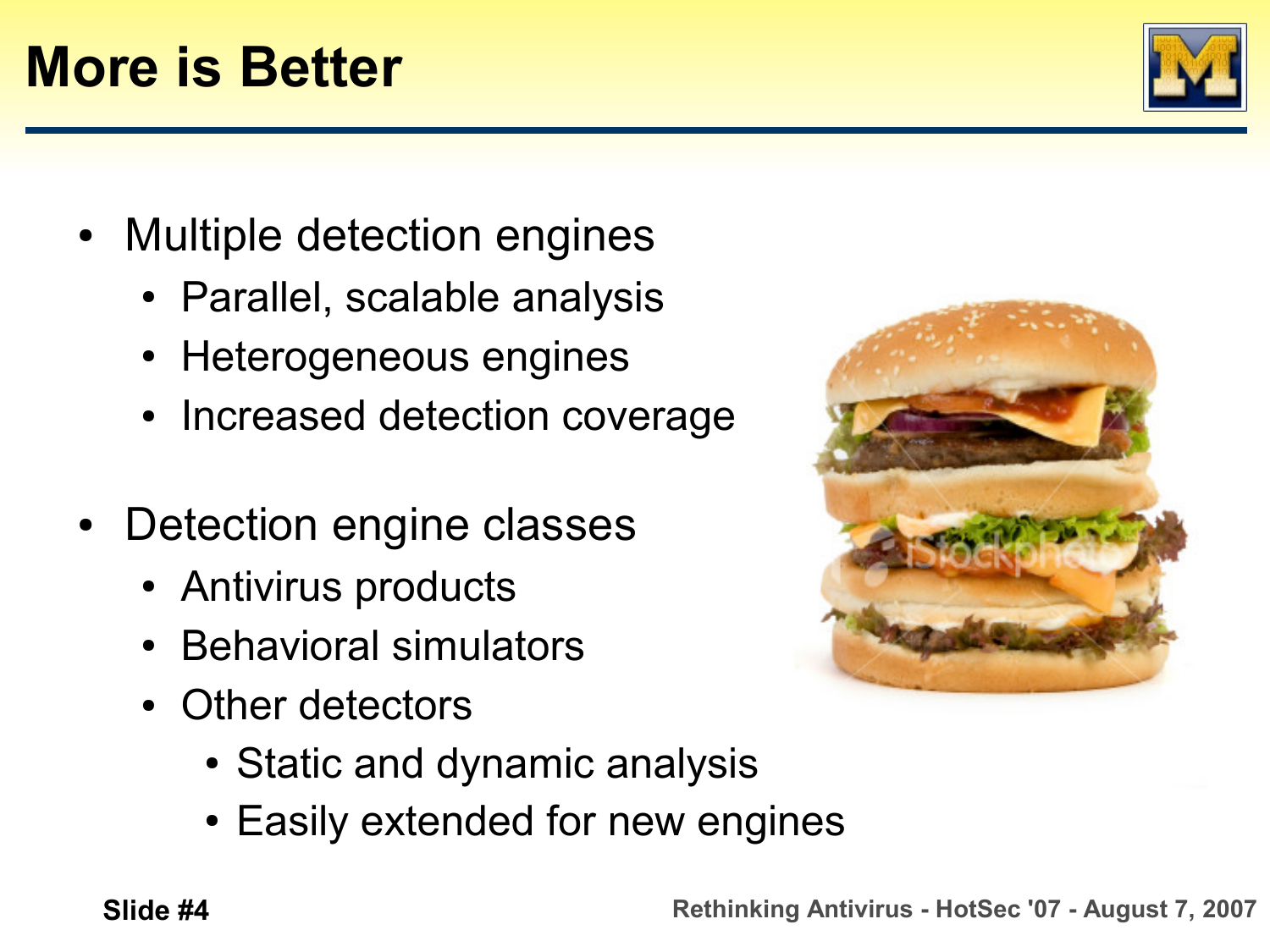#### **More is Better**

- Multiple detection engines
	- Parallel, scalable analysis
	- Heterogeneous engines
	- Increased detection coverage
- Detection engine classes
	- Antivirus products
	- **Behavioral simulators**
	- Other detectors
		- Static and dynamic analysis
		- Easily extended for new engines



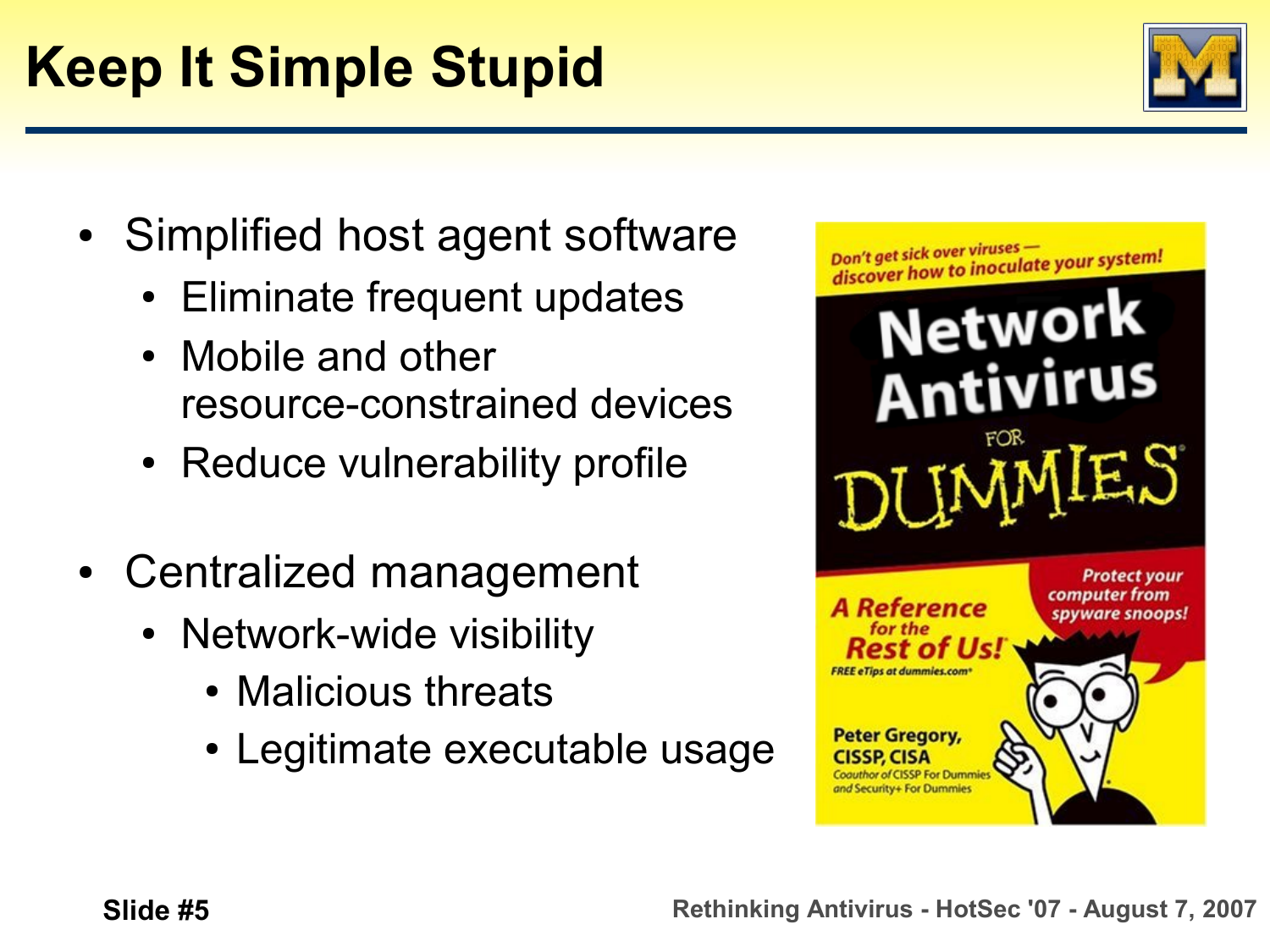## **Keep It Simple Stupid**

- Simplified host agent software
	- **Eliminate frequent updates**
	- Mobile and other resource-constrained devices
	- Reduce vulnerability profile
- Centralized management
	- Network-wide visibility
		- Malicious threats
		- Legitimate executable usage



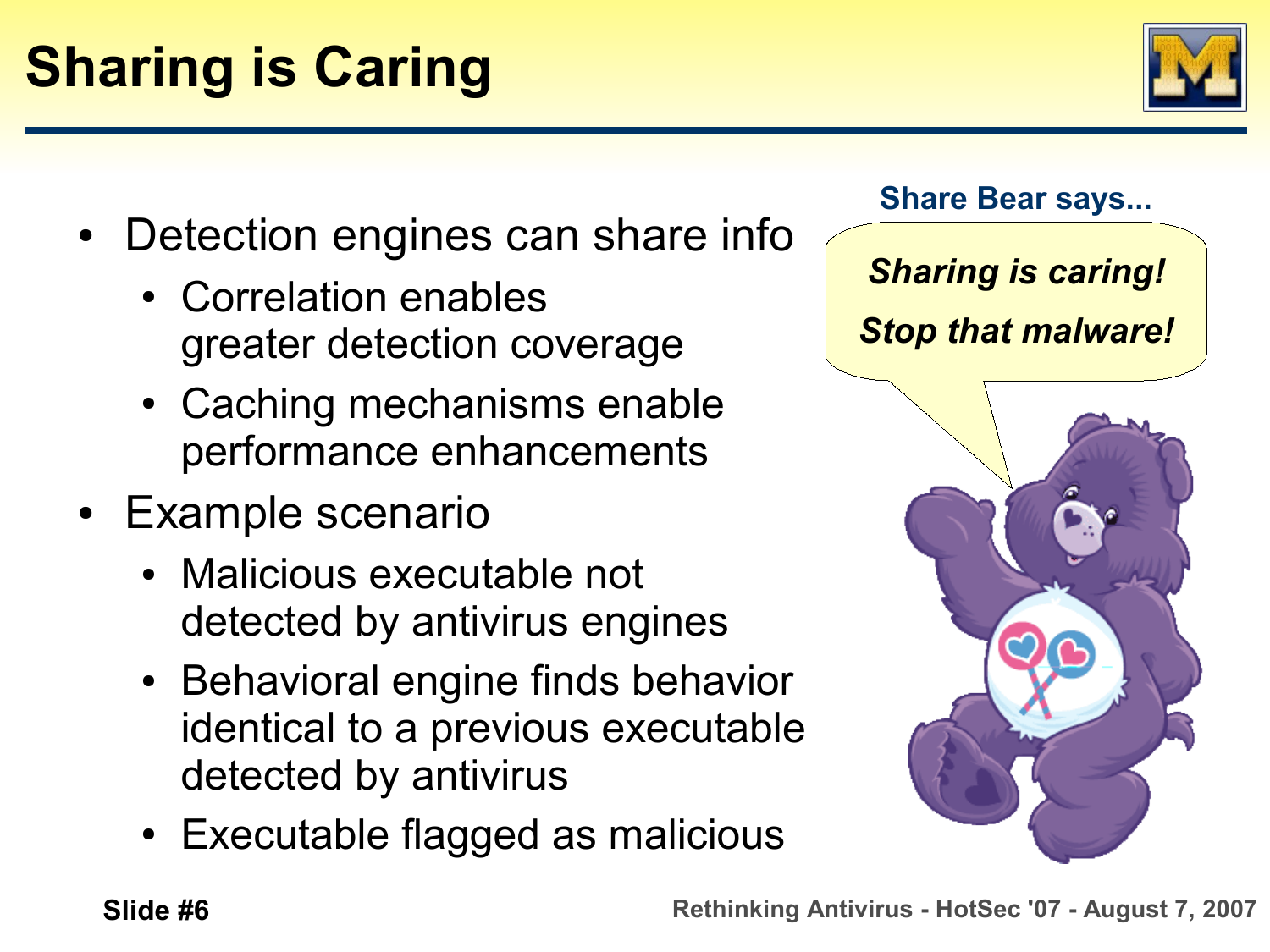

- Detection engines can share info
	- Correlation enables greater detection coverage
	- Caching mechanisms enable performance enhancements
- Example scenario
	- Malicious executable not detected by antivirus engines
	- Behavioral engine finds behavior identical to a previous executable detected by antivirus
	- Executable flagged as malicious

**Share Bear says...** *Sharing is caring! Stop that malware!*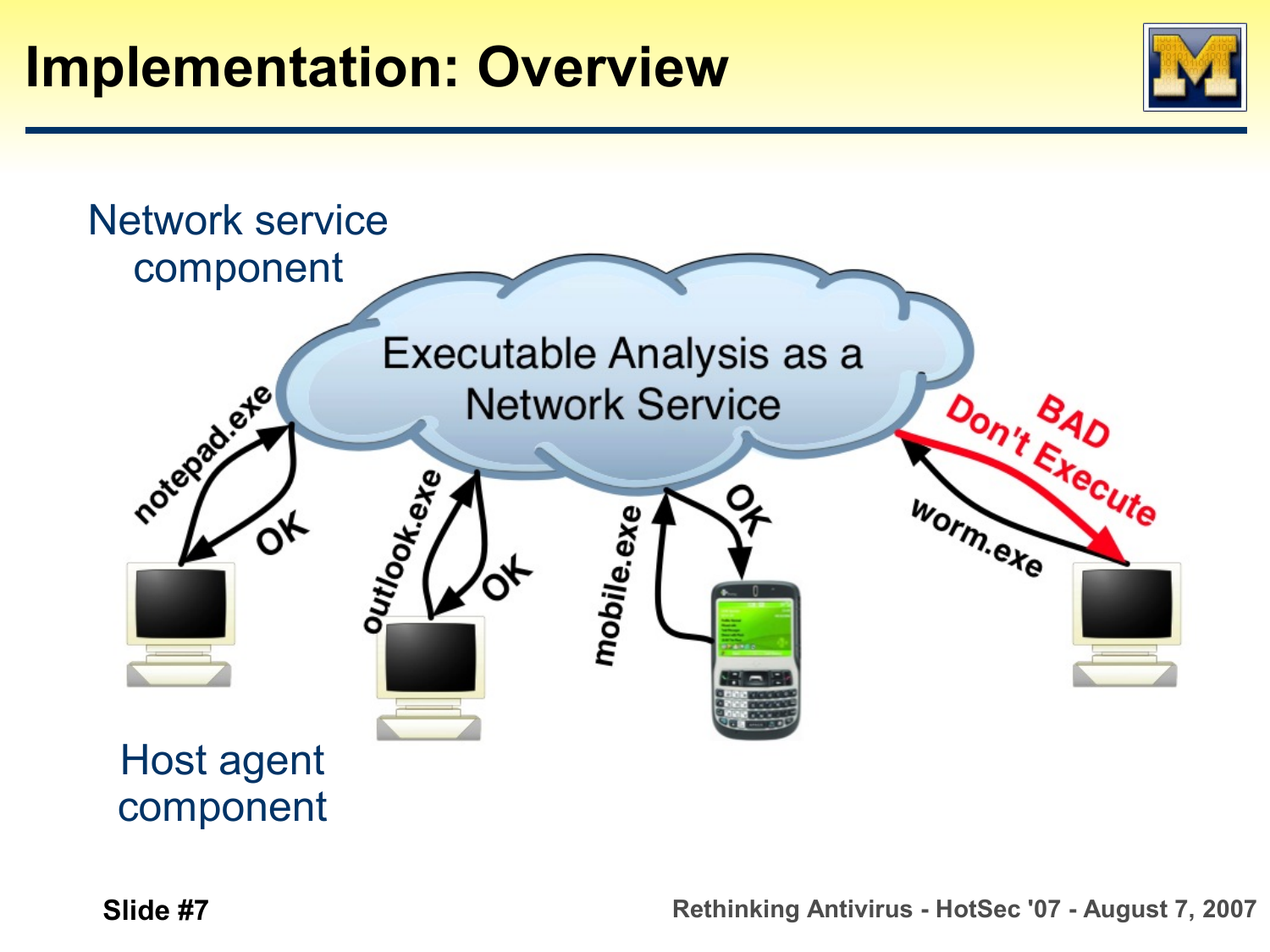



component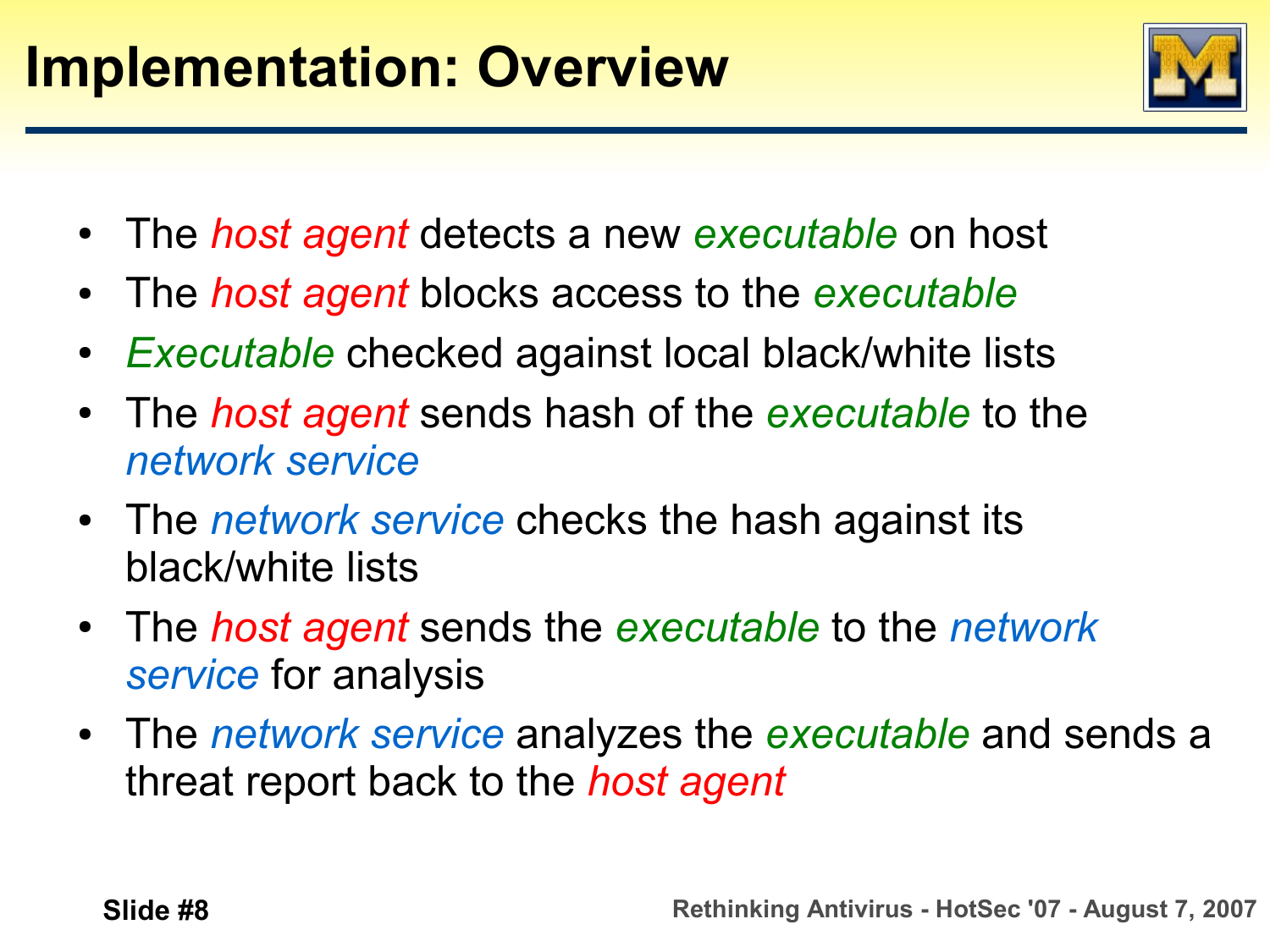

- The *host agent* detects a new *executable* on host
- The *host agent* blocks access to the *executable*
- *Executable* checked against local black/white lists
- The *host agent* sends hash of the *executable* to the *network service*
- The *network service* checks the hash against its black/white lists
- The *host agent* sends the *executable* to the *network service* for analysis
- The *network service* analyzes the *executable* and sends a threat report back to the *host agent*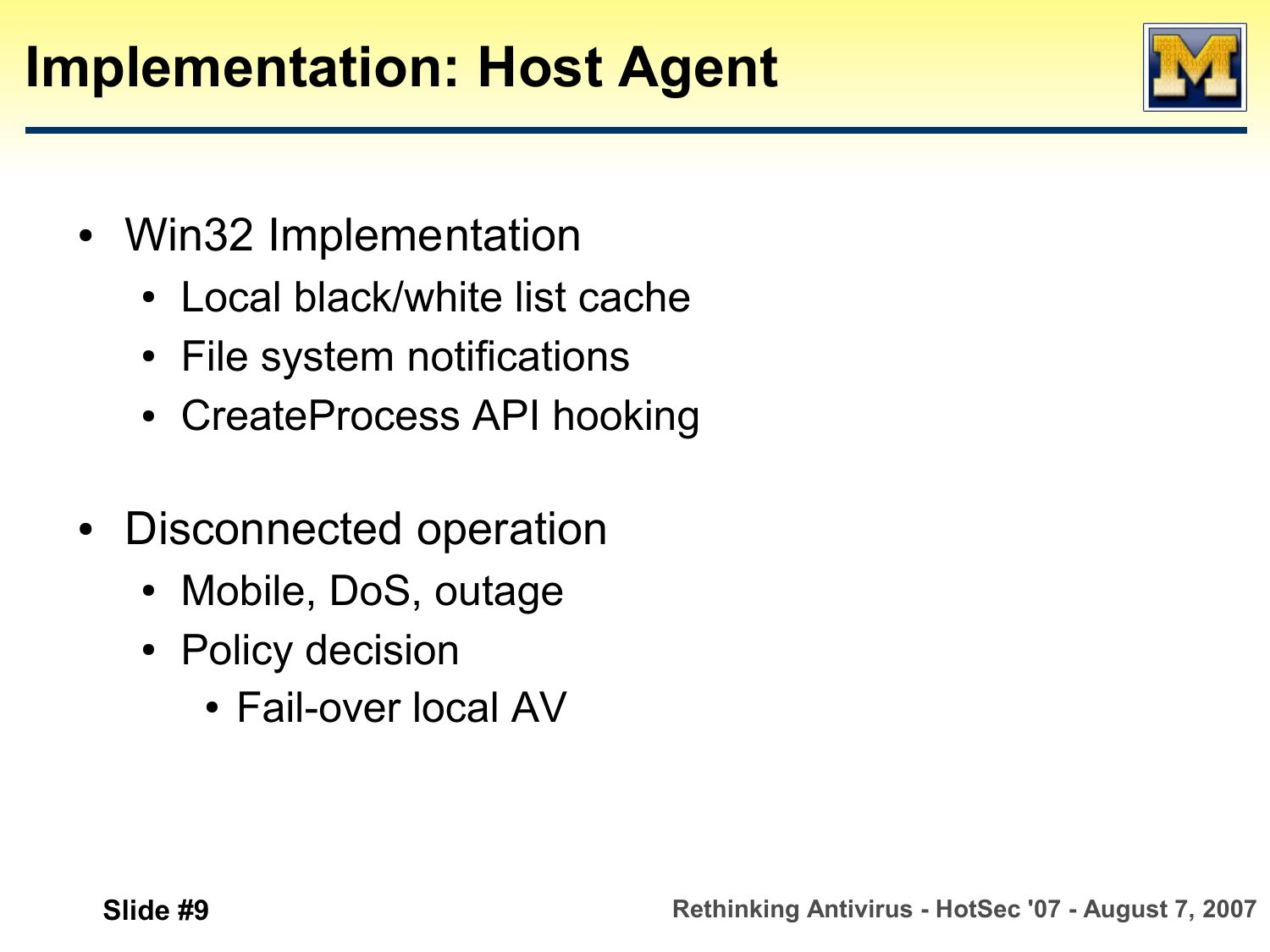#### **Implementation: Host Agent**

- Win32 Implementation
	- Local black/white list cache
	- File system notifications
	- CreateProcess API hooking
- Disconnected operation
	- Mobile, DoS, outage
	- Policy decision
		- Fail-over local AV

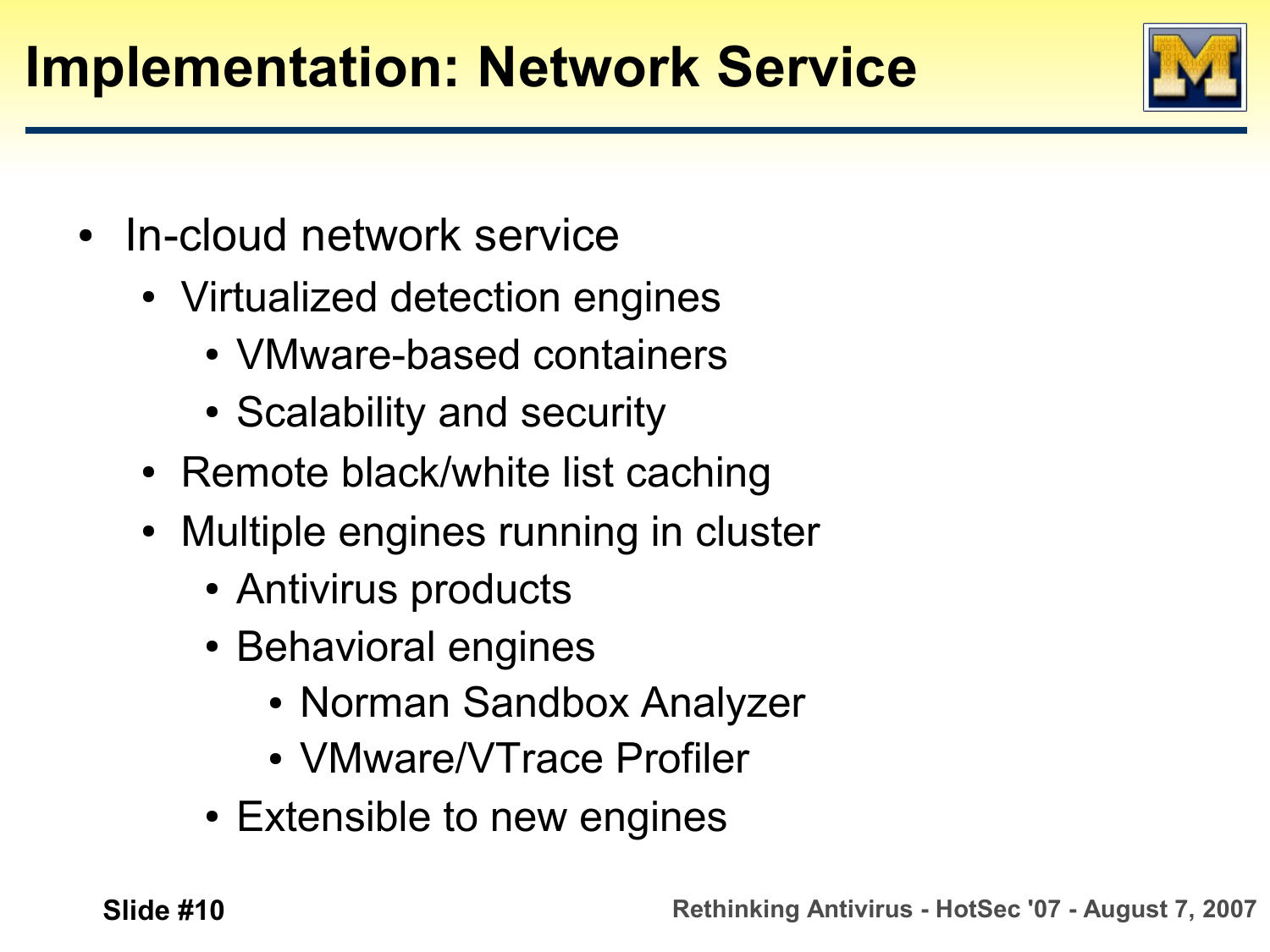### **Implementation: Network Service**

- In-cloud network service
	- Virtualized detection engines
		- VMware-based containers
		- Scalability and security
	- Remote black/white list caching
	- Multiple engines running in cluster
		- Antivirus products
		- Behavioral engines
			- Norman Sandbox Analyzer
			- VMware/VTrace Profiler
		- Extensible to new engines

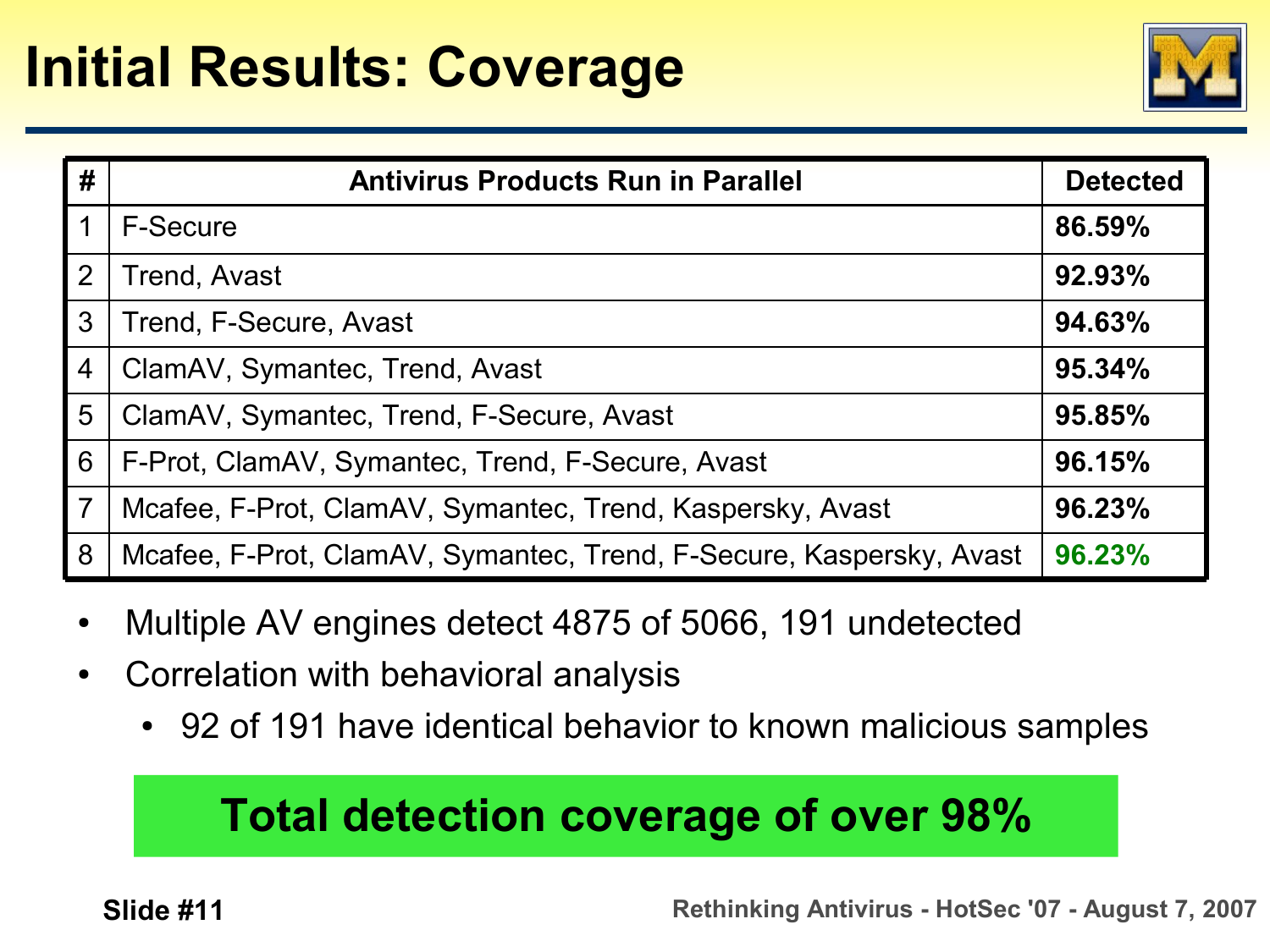#### **Initial Results: Coverage**



| #              | <b>Antivirus Products Run in Parallel</b>                           | <b>Detected</b> |
|----------------|---------------------------------------------------------------------|-----------------|
|                | F-Secure                                                            | 86.59%          |
| $\overline{2}$ | <b>Trend, Avast</b>                                                 | 92.93%          |
| 3              | Trend, F-Secure, Avast                                              | 94.63%          |
| $\overline{4}$ | ClamAV, Symantec, Trend, Avast                                      | 95.34%          |
| 5              | ClamAV, Symantec, Trend, F-Secure, Avast                            | 95.85%          |
| 6              | F-Prot, ClamAV, Symantec, Trend, F-Secure, Avast                    | 96.15%          |
| $\overline{7}$ | Mcafee, F-Prot, ClamAV, Symantec, Trend, Kaspersky, Avast           | 96.23%          |
| 8              | Mcafee, F-Prot, ClamAV, Symantec, Trend, F-Secure, Kaspersky, Avast | 96.23%          |

- Multiple AV engines detect 4875 of 5066, 191 undetected
- Correlation with behavioral analysis
	- 92 of 191 have identical behavior to known malicious samples

#### **Total detection coverage of over 98%**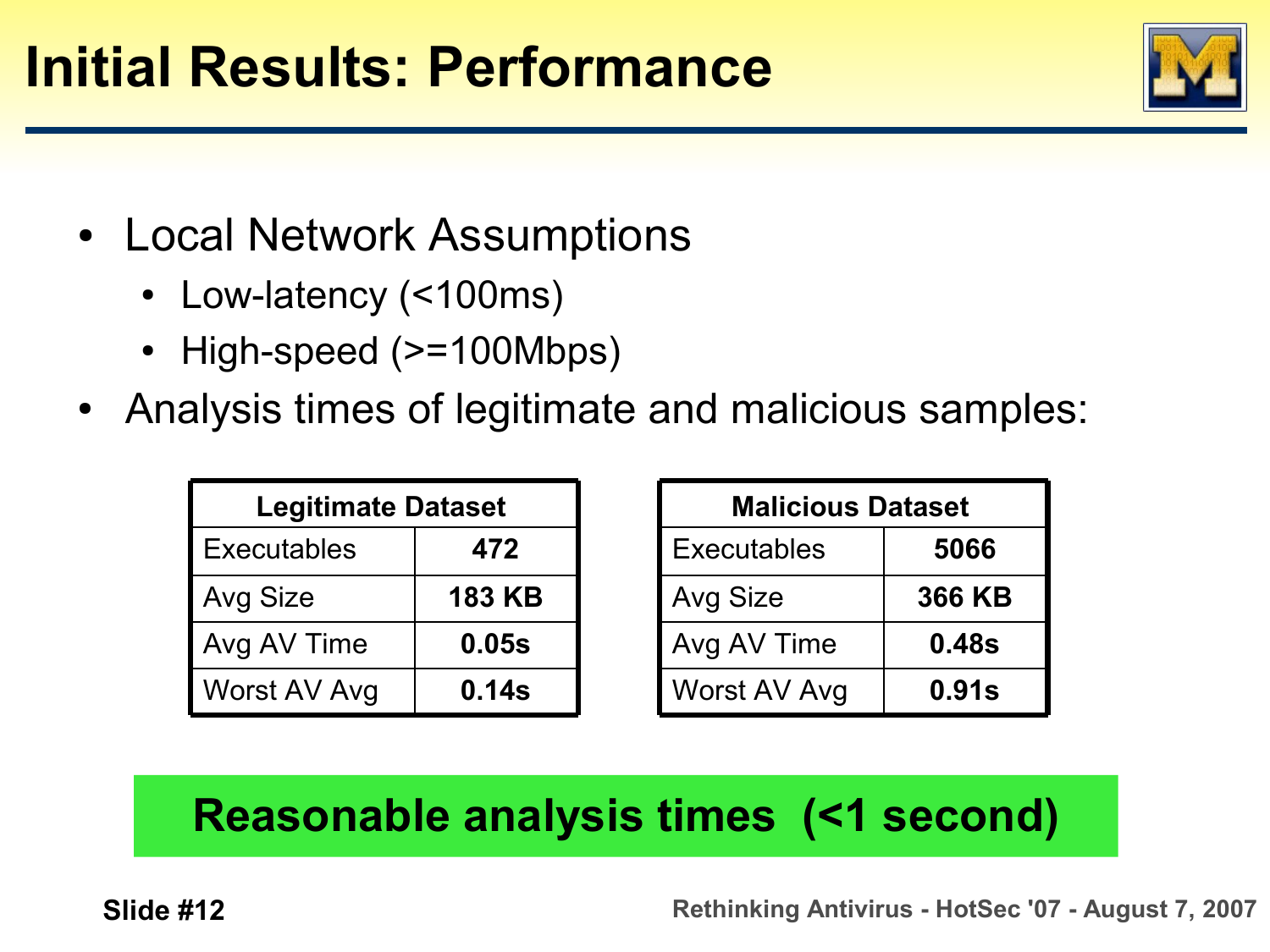#### **Initial Results: Performance**

- Local Network Assumptions
	- Low-latency (<100ms)
	- High-speed (>=100Mbps)
- Analysis times of legitimate and malicious samples:

| <b>Legitimate Dataset</b> |               |
|---------------------------|---------------|
| <b>Executables</b>        | 472           |
| <b>Avg Size</b>           | <b>183 KB</b> |
| Avg AV Time               | 0.05s         |
| Worst AV Avg              | 0.14s         |

| <b>Malicious Dataset</b> |               |
|--------------------------|---------------|
| <b>Executables</b>       | 5066          |
| Avg Size                 | <b>366 KB</b> |
| Avg AV Time              | 0.48s         |
| Worst AV Avg             | 0.91s         |

#### **Reasonable analysis times (<1 second)**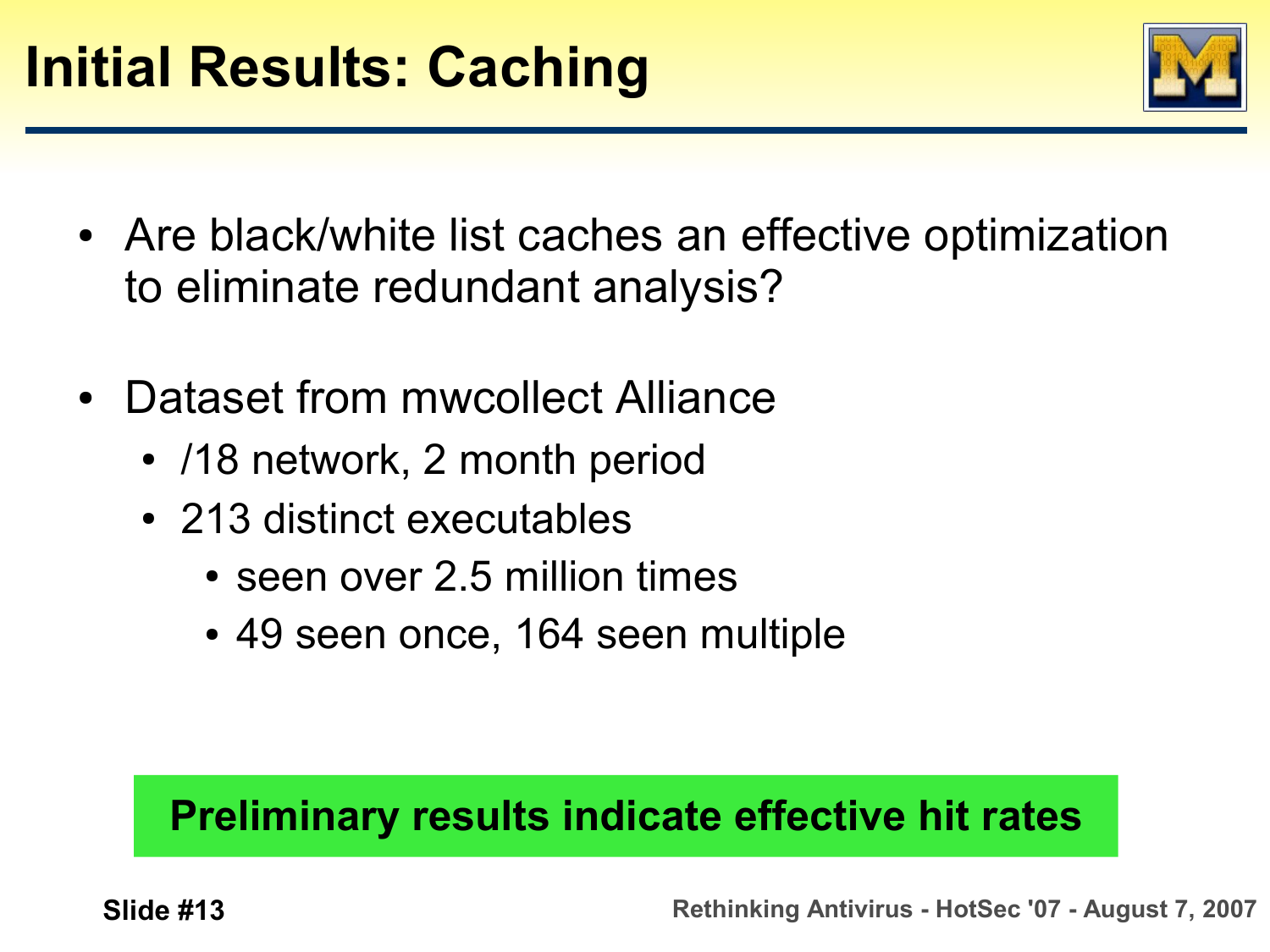

- Are black/white list caches an effective optimization to eliminate redundant analysis?
- Dataset from mwcollect Alliance
	- /18 network, 2 month period
	- 213 distinct executables
		- $\cdot$  seen over 2.5 million times
		- 49 seen once, 164 seen multiple

#### **Preliminary results indicate effective hit rates**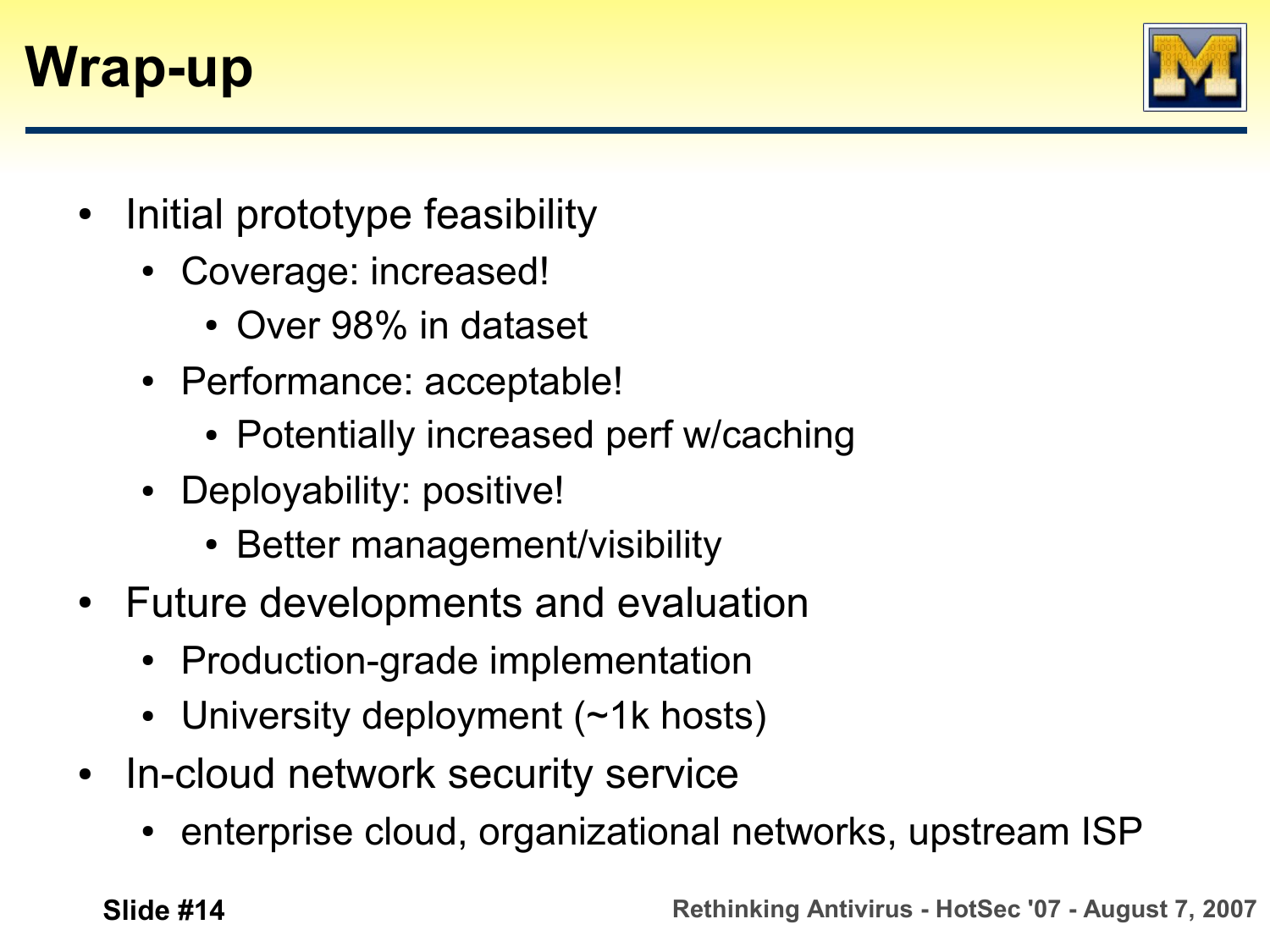### **Wrap-up**



- Initial prototype feasibility
	- Coverage: increased!
		- Over 98% in dataset
	- Performance: acceptable!
		- Potentially increased perf w/caching
	- Deployability: positive!
		- Better management/visibility
- Future developments and evaluation
	- Production-grade implementation
	- University deployment  $($   $\neg$ 1k hosts)
- In-cloud network security service
	- enterprise cloud, organizational networks, upstream ISP